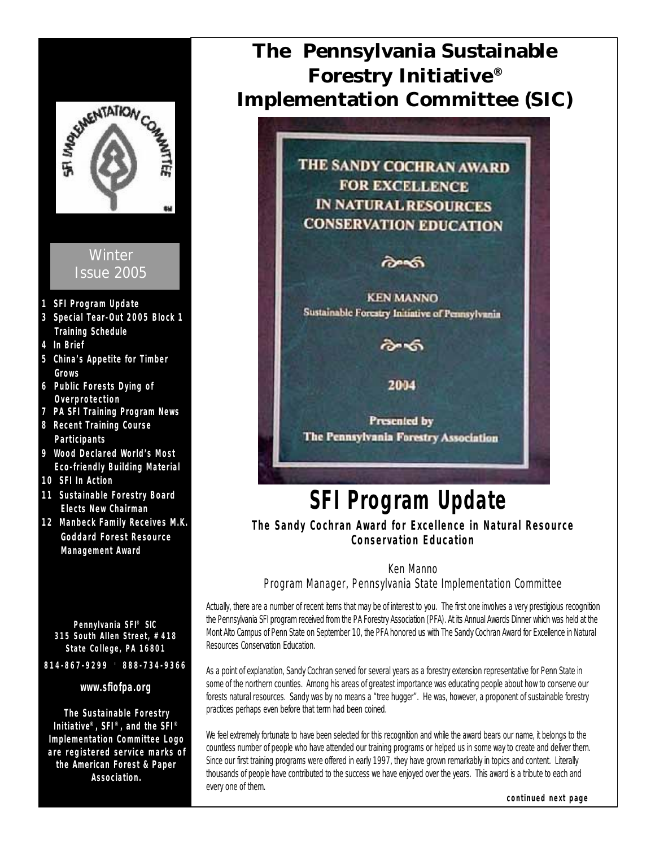

**Association.**

**The Pennsylvania Sustainable Forestry Initiative® Implementation Committee (SIC)**

> THE SANDY COCHRAN AWARD **FOR EXCELLENCE IN NATURAL RESOURCES CONSERVATION EDUCATION**

> > രംക

**KEN MANNO** Sustainable Forestry Initiative of Pennsylvania

ᢙ᠊ᡃᢐ

2004

**Presented by** The Pennsylvania Forestry Association

# **SFI Program Update**

**The Sandy Cochran Award for Excellence in Natural Resource Conservation Education**

### Ken Manno

Program Manager, Pennsylvania State Implementation Committee

Actually, there are a number of recent items that may be of interest to you. The first one involves a very prestigious recognition the Pennsylvania SFI program received from the PA Forestry Association (PFA). At its Annual Awards Dinner which was held at the Mont Alto Campus of Penn State on September 10, the PFA honored us with The Sandy Cochran Award for Excellence in Natural Resources Conservation Education.

As a point of explanation, Sandy Cochran served for several years as a forestry extension representative for Penn State in some of the northern counties. Among his areas of greatest importance was educating people about how to conserve our forests natural resources. Sandy was by no means a "tree hugger". He was, however, a proponent of sustainable forestry practices perhaps even before that term had been coined.

We feel extremely fortunate to have been selected for this recognition and while the award bears our name, it belongs to the countless number of people who have attended our training programs or helped us in some way to create and deliver them. Since our first training programs were offered in early 1997, they have grown remarkably in topics and content. Literally thousands of people have contributed to the success we have enjoyed over the years. This award is a tribute to each and every one of them.

**continued next page**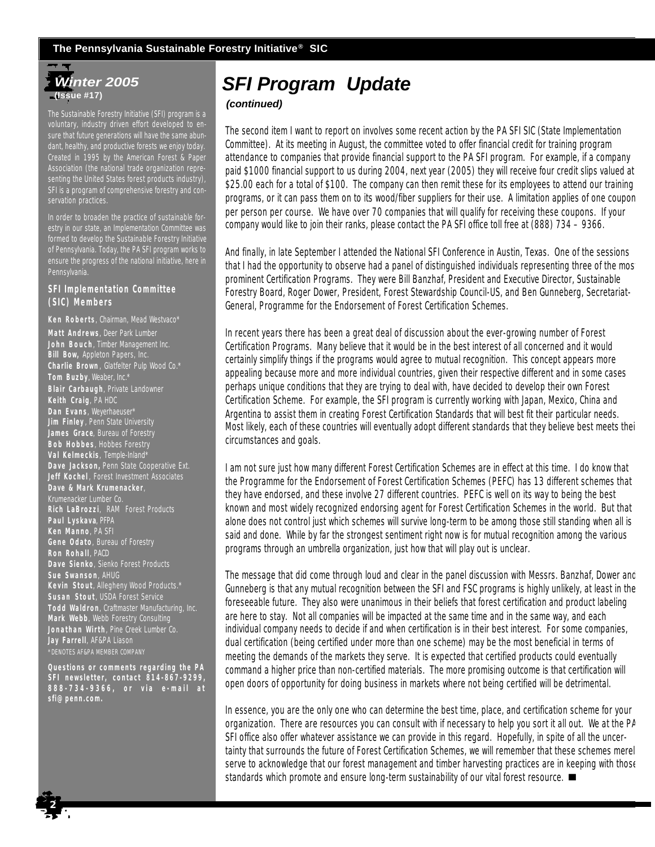### **The Pennsylvania Sustainable Forestry Initiative® SIC**

## *Winter 2005* **(Issue #17)**

The Sustainable Forestry Initiative (SFI) program is a voluntary, industry driven effort developed to ensure that future generations will have the same abundant, healthy, and productive forests we enjoy today. Created in 1995 by the American Forest & Paper Association (the national trade organization representing the United States forest products industry), SFI is a program of comprehensive forestry and conservation practices.

In order to broaden the practice of sustainable forestry in our state, an Implementation Committee was formed to develop the Sustainable Forestry Initiative of Pennsylvania. Today, the PA SFI program works to ensure the progress of the national initiative, here in Pennsylvania.

### **SFI Implementation Committee (SIC) Members**

**Ken Roberts**, Chairman, Mead Westvaco\*

**Matt Andrews**, Deer Park Lumber **John Bouch** , Timber Management Inc. **Bill Bow,** Appleton Papers, Inc. **Charlie Brown** , Glatfelter Pulp Wood Co.\* **Tom Buzby**, Weaber, Inc.\* **Blair Carbaugh**, Private Landowner **Keith Craig**, PA HDC **Dan Evans**, Weyerhaeuser\* **Jim Finley** , Penn State University **James Grace**, Bureau of Forestry **Bob Hobbes**, Hobbes Forestry **Val Kelmeckis**, Temple-Inland\* **Dave Jackson,** Penn State Cooperative Ext. **Jeff Kochel** , Forest Investment Associates **Dave & Mark Krumenacker**, **Rich LaBrozzi**, RAM Forest Products **Paul Lyskava**, PFPA **Ken Manno**, PA SFI **Gene Odato**, Bureau of Forestry **Ron Rohall** , PACD **Dave Sienko**, Sienko Forest Products **Sue Swanson** , AHUG **Kevin Stout**, Allegheny Wood Products.\* **Susan Stout**, USDA Forest Service **Todd Waldron**, Craftmaster Manufacturing, Inc. **Mark Webb**, Webb Forestry Consulting **Jonathan Wirth** , Pine Creek Lumber Co. **Jay Farrell**, AF&PA Liason \*DENOTES AF&PA MEMBER COMPANY

*Questions or comments regarding the PA SFI newsletter, contact 814-867-9299, 888-734-9366, or via e-mail at sfi@penn.com.*

# *SFI Program Update*

### *(continued)*

The second item I want to report on involves some recent action by the PA SFI SIC (State Implementation Committee). At its meeting in August, the committee voted to offer financial credit for training program attendance to companies that provide financial support to the PA SFI program. For example, if a company paid \$1000 financial support to us during 2004, next year (2005) they will receive four credit slips valued at \$25.00 each for a total of \$100. The company can then remit these for its employees to attend our training programs, or it can pass them on to its wood/fiber suppliers for their use. A limitation applies of one coupon per person per course. We have over 70 companies that will qualify for receiving these coupons. If your company would like to join their ranks, please contact the PA SFI office toll free at (888) 734 – 9366.

And finally, in late September I attended the National SFI Conference in Austin, Texas. One of the sessions that I had the opportunity to observe had a panel of distinguished individuals representing three of the most prominent Certification Programs. They were Bill Banzhaf, President and Executive Director, Sustainable Forestry Board, Roger Dower, President, Forest Stewardship Council-US, and Ben Gunneberg, Secretariat-General, Programme for the Endorsement of Forest Certification Schemes.

In recent years there has been a great deal of discussion about the ever-growing number of Forest Certification Programs. Many believe that it would be in the best interest of all concerned and it would certainly simplify things if the programs would agree to mutual recognition. This concept appears more appealing because more and more individual countries, given their respective different and in some cases perhaps unique conditions that they are trying to deal with, have decided to develop their own Forest Certification Scheme. For example, the SFI program is currently working with Japan, Mexico, China and Argentina to assist them in creating Forest Certification Standards that will best fit their particular needs. Most likely, each of these countries will eventually adopt different standards that they believe best meets their circumstances and goals.

I am not sure just how many different Forest Certification Schemes are in effect at this time. I do know that the Programme for the Endorsement of Forest Certification Schemes (PEFC) has 13 different schemes that they have endorsed, and these involve 27 different countries. PEFC is well on its way to being the best known and most widely recognized endorsing agent for Forest Certification Schemes in the world. But that alone does not control just which schemes will survive long-term to be among those still standing when all is said and done. While by far the strongest sentiment right now is for mutual recognition among the various programs through an umbrella organization, just how that will play out is unclear.

The message that did come through loud and clear in the panel discussion with Messrs. Banzhaf, Dower and Gunneberg is that any mutual recognition between the SFI and FSC programs is highly unlikely, at least in the foreseeable future. They also were unanimous in their beliefs that forest certification and product labeling are here to stay. Not all companies will be impacted at the same time and in the same way, and each individual company needs to decide if and when certification is in their best interest. For some companies, dual certification (being certified under more than one scheme) may be the most beneficial in terms of meeting the demands of the markets they serve. It is expected that certified products could eventually command a higher price than non-certified materials. The more promising outcome is that certification will open doors of opportunity for doing business in markets where not being certified will be detrimental.

In essence, you are the only one who can determine the best time, place, and certification scheme for your organization. There are resources you can consult with if necessary to help you sort it all out. We at the PA SFI office also offer whatever assistance we can provide in this regard. Hopefully, in spite of all the uncertainty that surrounds the future of Forest Certification Schemes, we will remember that these schemes merel serve to acknowledge that our forest management and timber harvesting practices are in keeping with those standards which promote and ensure long-term sustainability of our vital forest resource.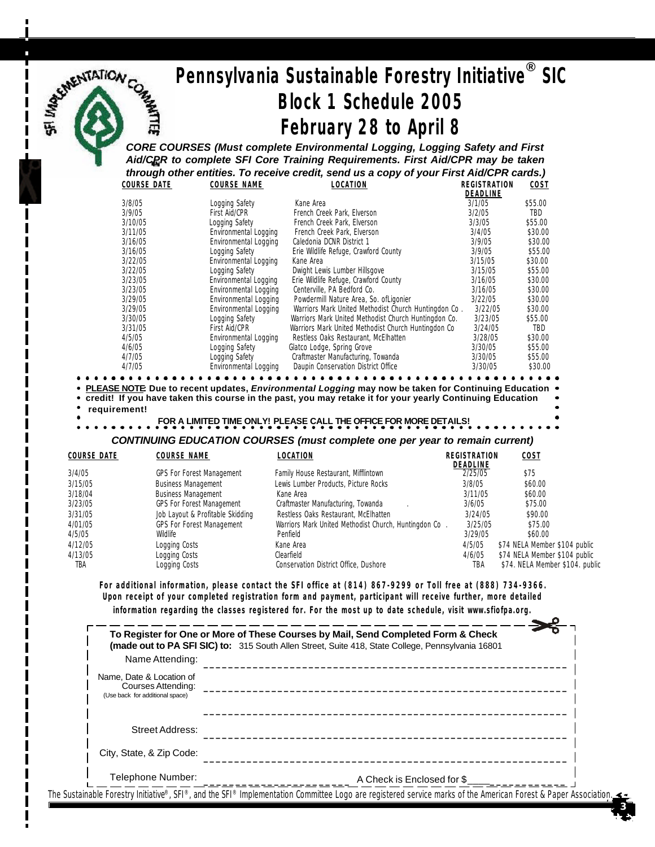# *Pennsylvania Sustainable Forestry Initiative***®** *SIC Block 1 Schedule 2005 February 28 to April 8 CORE COURSES (Must complete Environmental Logging, Logging Safety and First*

*Aid/CPR to complete SFI Core Training Requirements. First Aid/CPR may be taken through other entities. To receive credit, send us a copy of your First Aid/CPR cards.)*

MUE

| <b>COURSE DATE</b> | <b>COURSE NAME</b>    | LOCATION                                             | REGISTRATION | COST    |
|--------------------|-----------------------|------------------------------------------------------|--------------|---------|
|                    |                       |                                                      | DEADLINE     |         |
| 3/8/05             | Logging Safety        | Kane Area                                            | 3/1/05       | \$55.00 |
| 3/9/05             | First Aid/CPR         | French Creek Park, Elverson                          | 3/2/05       | TBD     |
| 3/10/05            | Logging Safety        | French Creek Park, Elverson                          | 3/3/05       | \$55.00 |
| 3/11/05            | Environmental Logging | French Creek Park, Elverson                          | 3/4/05       | \$30.00 |
| 3/16/05            | Environmental Logging | Caledonia DCNR District 1                            | 3/9/05       | \$30.00 |
| 3/16/05            | Logging Safety        | Erie Wildlife Refuge, Crawford County                | 3/9/05       | \$55.00 |
| 3/22/05            | Environmental Logging | Kane Area                                            | 3/15/05      | \$30.00 |
| 3/22/05            | Logging Safety        | Dwight Lewis Lumber Hillsgove                        | 3/15/05      | \$55.00 |
| 3/23/05            | Environmental Logging | Erie Wildlife Refuge, Crawford County                | 3/16/05      | \$30.00 |
| 3/23/05            | Environmental Logging | Centerville, PA Bedford Co.                          | 3/16/05      | \$30.00 |
| 3/29/05            | Environmental Logging | Powdermill Nature Area, So. of Ligonier              | 3/22/05      | \$30.00 |
| 3/29/05            | Environmental Logging | Warriors Mark United Methodist Church Huntingdon Co. | 3/22/05      | \$30.00 |
| 3/30/05            | Logging Safety        | Warriors Mark United Methodist Church Huntingdon Co. | 3/23/05      | \$55.00 |
| 3/31/05            | <b>First Aid/CPR</b>  | Warriors Mark United Methodist Church Huntingdon Co  | 3/24/05      | TBD     |
| 4/5/05             | Environmental Logging | Restless Oaks Restaurant, McElhatten                 | 3/28/05      | \$30.00 |
| 4/6/05             | Logging Safety        | Glatco Lodge, Spring Grove                           | 3/30/05      | \$55.00 |
| 4/7/05             | Logging Safety        | Craftmaster Manufacturing, Towanda                   | 3/30/05      | \$55.00 |
| 4/7/05             | Environmental Logging | Daupin Conservation District Office                  | 3/30/05      | \$30.00 |
|                    |                       |                                                      |              |         |

**PLEASE NOTE: Due to recent updates,** *Environmental Logging* **may now be taken for Continuing Education**

**credit! If you have taken this course in the past, you may retake it for your yearly Continuing Education requirement!**

 **FOR A LIMITED TIME ONLY! PLEASE CALL THE OFFICE FOR MORE DETAILS!**

*CONTINUING EDUCATION COURSES (must complete one per year to remain current)*

| COURSE DATE | COURSE NAME                      | LOCATION                                              | REGISTRATION<br>DEADLINE | COST                            |
|-------------|----------------------------------|-------------------------------------------------------|--------------------------|---------------------------------|
| 3/4/05      | <b>GPS For Forest Management</b> | Family House Restaurant, Mifflintown                  | 2/25/05                  | \$75                            |
| 3/15/05     | <b>Business Management</b>       | Lewis Lumber Products, Picture Rocks                  | 3/8/05                   | \$60.00                         |
| 3/18/04     | <b>Business Management</b>       | Kane Area                                             | 3/11/05                  | \$60.00                         |
| 3/23/05     | <b>GPS For Forest Management</b> | Craftmaster Manufacturing, Towanda                    | 3/6/05                   | \$75.00                         |
| 3/31/05     | Job Layout & Profitable Skidding | Restless Oaks Restaurant, McElhatten                  | 3/24/05                  | \$90.00                         |
| 4/01/05     | <b>GPS For Forest Management</b> | Warriors Mark United Methodist Church, Huntingdon Co. | 3/25/05                  | \$75.00                         |
| 4/5/05      | Wildlife                         | Penfield                                              | 3/29/05                  | \$60.00                         |
| 4/12/05     | Logging Costs                    | Kane Area                                             | 4/5/05                   | \$74 NELA Member \$104 public   |
| 4/13/05     | Logging Costs                    | Clearfield                                            | 4/6/05                   | \$74 NELA Member \$104 public   |
| tba         | Logging Costs                    | Conservation District Office, Dushore                 | TBA                      | \$74. NELA Member \$104. public |

**For additional information, please contact the SFI office at (814) 867-9299 or Toll free at (888) 734-9366. Upon receipt of your completed registration form and payment, participant will receive further, more detailed information regarding the classes registered for. For the most up to date schedule, visit www.sfiofpa.org.**

|                                                                                   | To Register for One or More of These Courses by Mail, Send Completed Form & Check<br><b>(made out to PA SFI SIC) to:</b> 315 South Allen Street, Suite 418, State College, Pennsylvania 16801 |
|-----------------------------------------------------------------------------------|-----------------------------------------------------------------------------------------------------------------------------------------------------------------------------------------------|
| Name Attending:                                                                   |                                                                                                                                                                                               |
| Name. Date & Location of<br>Courses Attending:<br>(Use back for additional space) |                                                                                                                                                                                               |
| Street Address:                                                                   |                                                                                                                                                                                               |
| City, State, & Zip Code:                                                          |                                                                                                                                                                                               |
| Telephone Number:                                                                 | A Check is Enclosed for \$                                                                                                                                                                    |

 **3**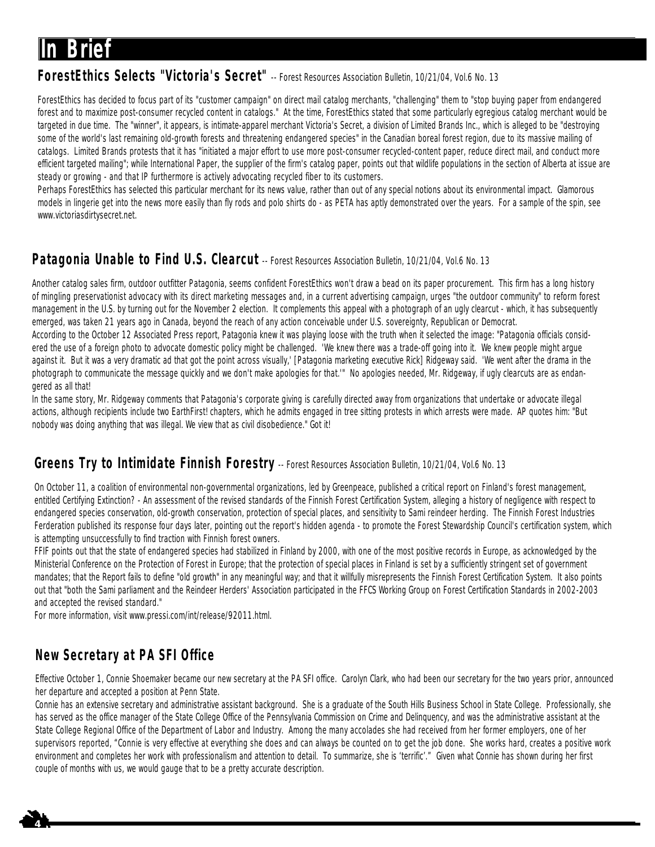# **In Brief**

### **ForestEthics Selects "Victoria's Secret"** -- Forest Resources Association Bulletin, 10/21/04, Vol.6 No. 13

ForestEthics has decided to focus part of its "customer campaign" on direct mail catalog merchants, "challenging" them to "stop buying paper from endangered forest and to maximize post-consumer recycled content in catalogs." At the time, ForestEthics stated that some particularly egregious catalog merchant would be targeted in due time. The "winner", it appears, is intimate-apparel merchant Victoria's Secret, a division of Limited Brands Inc., which is alleged to be "destroying some of the world's last remaining old-growth forests and threatening endangered species" in the Canadian boreal forest region, due to its massive mailing of catalogs. Limited Brands protests that it has "initiated a major effort to use more post-consumer recycled-content paper, reduce direct mail, and conduct more efficient targeted mailing"; while International Paper, the supplier of the firm's catalog paper, points out that wildlife populations in the section of Alberta at issue are steady or growing - and that IP furthermore is actively advocating recycled fiber to its customers.

Perhaps ForestEthics has selected this particular merchant for its news value, rather than out of any special notions about its environmental impact. Glamorous models in lingerie get into the news more easily than fly rods and polo shirts do - as PETA has aptly demonstrated over the years. For a sample of the spin, see www.victoriasdirtysecret.net.

## Patagonia Unable to Find U.S. Clearcut -- Forest Resources Association Bulletin, 10/21/04, Vol.6 No. 13

Another catalog sales firm, outdoor outfitter Patagonia, seems confident ForestEthics won't draw a bead on its paper procurement. This firm has a long history of mingling preservationist advocacy with its direct marketing messages and, in a current advertising campaign, urges "the outdoor community" to reform forest management in the U.S. by turning out for the November 2 election. It complements this appeal with a photograph of an ugly clearcut - which, it has subsequently emerged, was taken 21 years ago in Canada, beyond the reach of any action conceivable under U.S. sovereignty, Republican or Democrat.

According to the October 12 Associated Press report, Patagonia knew it was playing loose with the truth when it selected the image: "Patagonia officials considered the use of a foreign photo to advocate domestic policy might be challenged. 'We knew there was a trade-off going into it. We knew people might argue against it. But it was a very dramatic ad that got the point across visually,' [Patagonia marketing executive Rick] Ridgeway said. 'We went after the drama in the photograph to communicate the message quickly and we don't make apologies for that."" No apologies needed, Mr. Ridgeway, if ugly clearcuts are as endangered as all that!

In the same story, Mr. Ridgeway comments that Patagonia's corporate giving is carefully directed away from organizations that undertake or advocate illegal actions, although recipients include two EarthFirst! chapters, which he admits engaged in tree sitting protests in which arrests were made. AP quotes him: "But nobody was doing anything that was illegal. We view that as civil disobedience." Got it!

### **Greens Try to Intimidate Finnish Forestry** -- Forest Resources Association Bulletin, 10/21/04, Vol.6 No. 13

On October 11, a coalition of environmental non-governmental organizations, led by Greenpeace, published a critical report on Finland's forest management, entitled Certifying Extinction? - An assessment of the revised standards of the Finnish Forest Certification System, alleging a history of negligence with respect to endangered species conservation, old-growth conservation, protection of special places, and sensitivity to Sami reindeer herding. The Finnish Forest Industries Ferderation published its response four days later, pointing out the report's hidden agenda - to promote the Forest Stewardship Council's certification system, which is attempting unsuccessfully to find traction with Finnish forest owners.

FFIF points out that the state of endangered species had stabilized in Finland by 2000, with one of the most positive records in Europe, as acknowledged by the Ministerial Conference on the Protection of Forest in Europe; that the protection of special places in Finland is set by a sufficiently stringent set of government mandates; that the Report fails to define "old growth" in any meaningful way; and that it willfully misrepresents the Finnish Forest Certification System. It also points out that "both the Sami parliament and the Reindeer Herders' Association participated in the FFCS Working Group on Forest Certification Standards in 2002-2003 and accepted the revised standard."

For more information, visit www.pressi.com/int/release/92011.html.

## **New Secretary at PA SFI Office**

 $\frac{1}{4}$ 

Effective October 1, Connie Shoemaker became our new secretary at the PA SFI office. Carolyn Clark, who had been our secretary for the two years prior, announced her departure and accepted a position at Penn State.

Connie has an extensive secretary and administrative assistant background. She is a graduate of the South Hills Business School in State College. Professionally, she has served as the office manager of the State College Office of the Pennsylvania Commission on Crime and Delinquency, and was the administrative assistant at the State College Regional Office of the Department of Labor and Industry. Among the many accolades she had received from her former employers, one of her supervisors reported, "Connie is very effective at everything she does and can always be counted on to get the job done. She works hard, creates a positive work environment and completes her work with professionalism and attention to detail. To summarize, she is 'terrific'." Given what Connie has shown during her first couple of months with us, we would gauge that to be a pretty accurate description.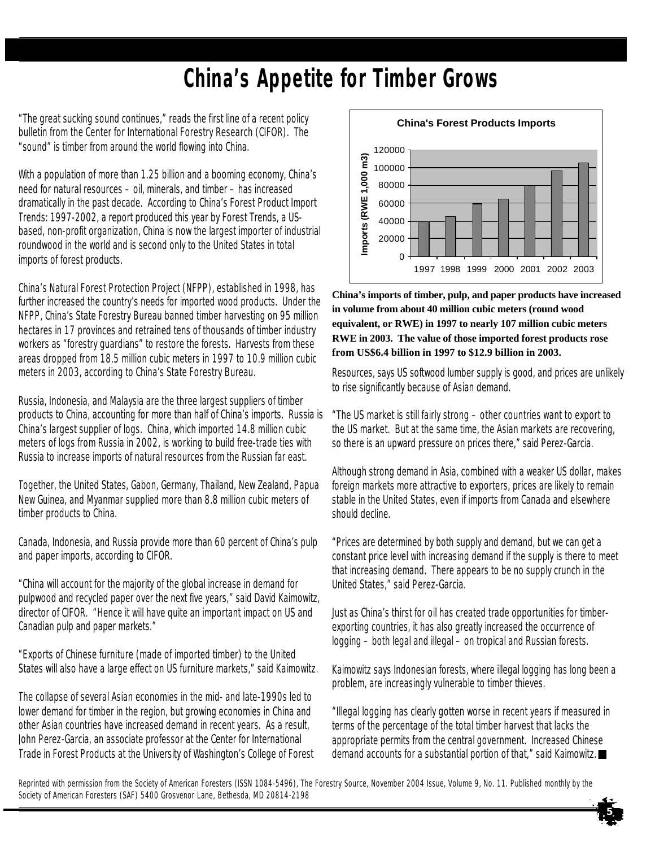# **China's Appetite for Timber Grows**

"The great sucking sound continues," reads the first line of a recent policy bulletin from the Center for International Forestry Research (CIFOR). The "sound" is timber from around the world flowing into China.

With a population of more than 1.25 billion and a booming economy, China's need for natural resources – oil, minerals, and timber – has increased dramatically in the past decade. According to China's Forest Product Import Trends: 1997-2002, a report produced this year by Forest Trends, a USbased, non-profit organization, China is now the largest importer of industrial roundwood in the world and is second only to the United States in total imports of forest products.

China's Natural Forest Protection Project (NFPP), established in 1998, has further increased the country's needs for imported wood products. Under the NFPP, China's State Forestry Bureau banned timber harvesting on 95 million hectares in 17 provinces and retrained tens of thousands of timber industry workers as "forestry guardians" to restore the forests. Harvests from these areas dropped from 18.5 million cubic meters in 1997 to 10.9 million cubic meters in 2003, according to China's State Forestry Bureau.

Russia, Indonesia, and Malaysia are the three largest suppliers of timber products to China, accounting for more than half of China's imports. Russia is China's largest supplier of logs. China, which imported 14.8 million cubic meters of logs from Russia in 2002, is working to build free-trade ties with Russia to increase imports of natural resources from the Russian far east.

Together, the United States, Gabon, Germany, Thailand, New Zealand, Papua New Guinea, and Myanmar supplied more than 8.8 million cubic meters of timber products to China.

Canada, Indonesia, and Russia provide more than 60 percent of China's pulp and paper imports, according to CIFOR.

"China will account for the majority of the global increase in demand for pulpwood and recycled paper over the next five years," said David Kaimowitz, director of CIFOR. "Hence it will have quite an important impact on US and Canadian pulp and paper markets."

"Exports of Chinese furniture (made of imported timber) to the United States will also have a large effect on US furniture markets," said Kaimowitz.

The collapse of several Asian economies in the mid- and late-1990s led to lower demand for timber in the region, but growing economies in China and other Asian countries have increased demand in recent years. As a result, John Perez-Garcia, an associate professor at the Center for International Trade in Forest Products at the University of Washington's College of Forest



**China's imports of timber, pulp, and paper products have increased in volume from about 40 million cubic meters (round wood equivalent, or RWE) in 1997 to nearly 107 million cubic meters RWE in 2003. The value of those imported forest products rose from US\$6.4 billion in 1997 to \$12.9 billion in 2003.**

Resources, says US softwood lumber supply is good, and prices are unlikely to rise significantly because of Asian demand.

"The US market is still fairly strong – other countries want to export to the US market. But at the same time, the Asian markets are recovering, so there is an upward pressure on prices there," said Perez-Garcia.

Although strong demand in Asia, combined with a weaker US dollar, makes foreign markets more attractive to exporters, prices are likely to remain stable in the United States, even if imports from Canada and elsewhere should decline.

"Prices are determined by both supply and demand, but we can get a constant price level with increasing demand if the supply is there to meet that increasing demand. There appears to be no supply crunch in the United States," said Perez-Garcia.

Just as China's thirst for oil has created trade opportunities for timberexporting countries, it has also greatly increased the occurrence of logging – both legal and illegal – on tropical and Russian forests.

Kaimowitz says Indonesian forests, where illegal logging has long been a problem, are increasingly vulnerable to timber thieves.

"Illegal logging has clearly gotten worse in recent years if measured in terms of the percentage of the total timber harvest that lacks the appropriate permits from the central government. Increased Chinese demand accounts for a substantial portion of that," said Kaimowitz.

*Reprinted with permission from the Society of American Foresters (ISSN 1084-5496), The Forestry Source, November 2004 Issue, Volume 9, No. 11. Published monthly by the Society of American Foresters (SAF) 5400 Grosvenor Lane, Bethesda, MD 20814-2198*

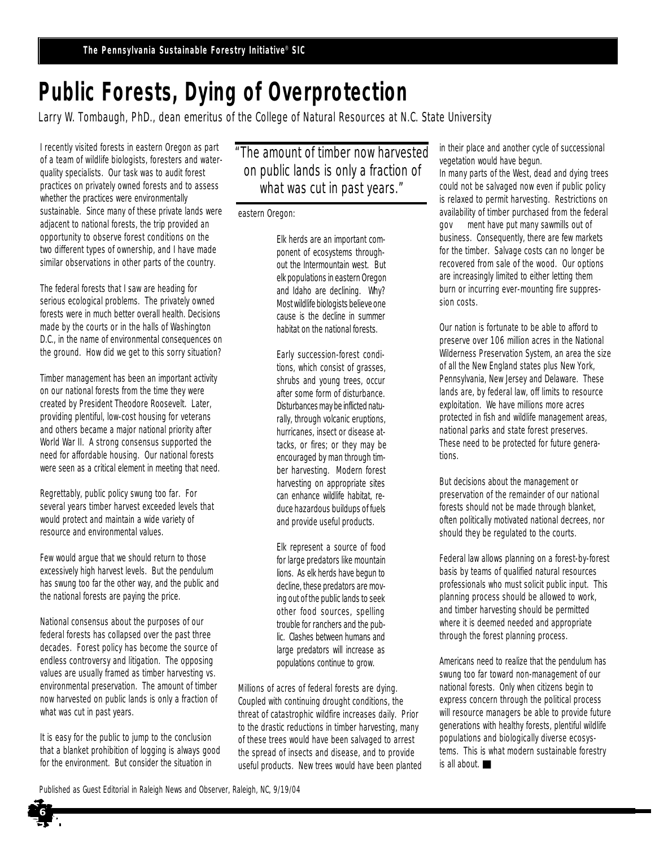# **Public Forests, Dying of Overprotection**

Larry W. Tombaugh, PhD., dean emeritus of the College of Natural Resources at N.C. State University

I recently visited forests in eastern Oregon as part of a team of wildlife biologists, foresters and waterquality specialists. Our task was to audit forest practices on privately owned forests and to assess whether the practices were environmentally sustainable. Since many of these private lands were adjacent to national forests, the trip provided an opportunity to observe forest conditions on the two different types of ownership, and I have made similar observations in other parts of the country.

The federal forests that I saw are heading for serious ecological problems. The privately owned forests were in much better overall health. Decisions made by the courts or in the halls of Washington D.C., in the name of environmental consequences on the ground. How did we get to this sorry situation?

Timber management has been an important activity on our national forests from the time they were created by President Theodore Roosevelt. Later, providing plentiful, low-cost housing for veterans and others became a major national priority after World War II. A strong consensus supported the need for affordable housing. Our national forests were seen as a critical element in meeting that need.

Regrettably, public policy swung too far. For several years timber harvest exceeded levels that would protect and maintain a wide variety of resource and environmental values.

Few would argue that we should return to those excessively high harvest levels. But the pendulum has swung too far the other way, and the public and the national forests are paying the price.

National consensus about the purposes of our federal forests has collapsed over the past three decades. Forest policy has become the source of endless controversy and litigation. The opposing values are usually framed as timber harvesting vs. environmental preservation. The amount of timber now harvested on public lands is only a fraction of what was cut in past years.

It is easy for the public to jump to the conclusion that a blanket prohibition of logging is always good for the environment. But consider the situation in

**6**

"The amount of timber now harvested on public lands is only a fraction of what was cut in past years."

### eastern Oregon:

Elk herds are an important component of ecosystems throughout the Intermountain west. But elk populations in eastern Oregon and Idaho are declining. Why? Most wildlife biologists believe one cause is the decline in summer habitat on the national forests.

Early succession-forest conditions, which consist of grasses, shrubs and young trees, occur after some form of disturbance. Disturbances may be inflicted naturally, through volcanic eruptions, hurricanes, insect or disease attacks, or fires; or they may be encouraged by man through timber harvesting. Modern forest harvesting on appropriate sites can enhance wildlife habitat, reduce hazardous buildups of fuels and provide useful products.

Elk represent a source of food for large predators like mountain lions. As elk herds have begun to decline, these predators are moving out of the public lands to seek other food sources, spelling trouble for ranchers and the public. Clashes between humans and large predators will increase as populations continue to grow.

Millions of acres of federal forests are dying. Coupled with continuing drought conditions, the threat of catastrophic wildfire increases daily. Prior to the drastic reductions in timber harvesting, many of these trees would have been salvaged to arrest the spread of insects and disease, and to provide useful products. New trees would have been planted in their place and another cycle of successional vegetation would have begun.

In many parts of the West, dead and dying trees could not be salvaged now even if public policy is relaxed to permit harvesting. Restrictions on availability of timber purchased from the federal gov**ern**ment have put many sawmills out of business. Consequently, there are few markets for the timber. Salvage costs can no longer be recovered from sale of the wood. Our options are increasingly limited to either letting them burn or incurring ever-mounting fire suppression costs.

Our nation is fortunate to be able to afford to preserve over 106 million acres in the National Wilderness Preservation System, an area the size of all the New England states plus New York, Pennsylvania, New Jersey and Delaware. These lands are, by federal law, off limits to resource exploitation. We have millions more acres protected in fish and wildlife management areas, national parks and state forest preserves. These need to be protected for future generations.

But decisions about the management or preservation of the remainder of our national forests should not be made through blanket, often politically motivated national decrees, nor should they be regulated to the courts.

Federal law allows planning on a forest-by-forest basis by teams of qualified natural resources professionals who must solicit public input. This planning process should be allowed to work, and timber harvesting should be permitted where it is deemed needed and appropriate through the forest planning process.

Americans need to realize that the pendulum has swung too far toward non-management of our national forests. Only when citizens begin to express concern through the political process will resource managers be able to provide future generations with healthy forests, plentiful wildlife populations and biologically diverse ecosystems. This is what modern sustainable forestry is all about.

*Published as Guest Editorial in Raleigh News and Observer, Raleigh, NC, 9/19/04*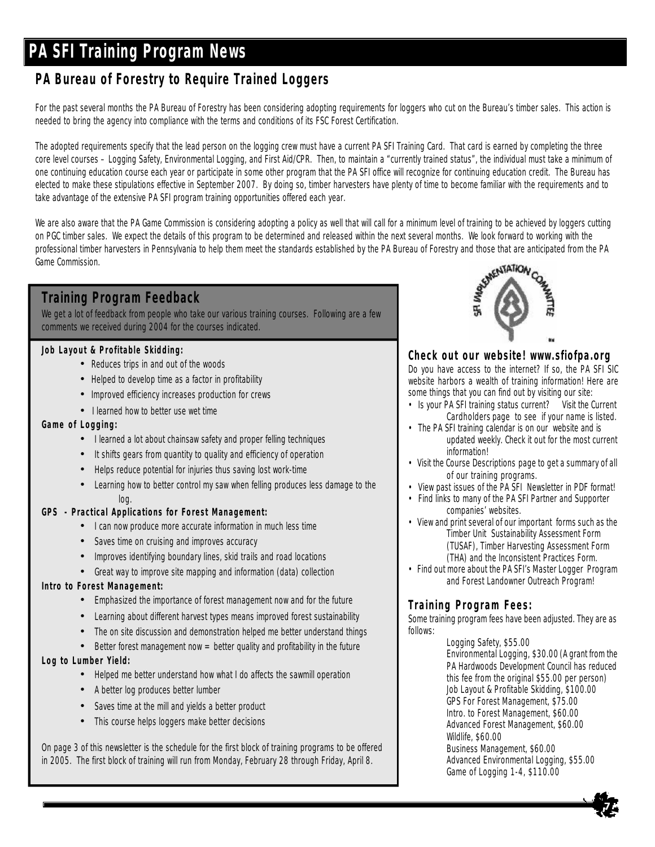# **PA SFI Training Program News**

## **PA Bureau of Forestry to Require Trained Loggers**

For the past several months the PA Bureau of Forestry has been considering adopting requirements for loggers who cut on the Bureau's timber sales. This action is needed to bring the agency into compliance with the terms and conditions of its FSC Forest Certification.

The adopted requirements specify that the lead person on the logging crew must have a current PA SFI Training Card. That card is earned by completing the three core level courses – Logging Safety, Environmental Logging, and First Aid/CPR. Then, to maintain a "currently trained status", the individual must take a minimum of one continuing education course each year or participate in some other program that the PA SFI office will recognize for continuing education credit. The Bureau has elected to make these stipulations effective in September 2007. By doing so, timber harvesters have plenty of time to become familiar with the requirements and to take advantage of the extensive PA SFI program training opportunities offered each year.

We are also aware that the PA Game Commission is considering adopting a policy as well that will call for a minimum level of training to be achieved by loggers cutting on PGC timber sales. We expect the details of this program to be determined and released within the next several months. We look forward to working with the professional timber harvesters in Pennsylvania to help them meet professional timber harvesters in Pennsylvania to help them meet the standards established by the PA Bureau of Forestry and those that are anticipated from the PA Game Commission.

## **Training Program Feedback**

We get a lot of feedback from people who take our various training courses. Following are a few comments we received during 2004 for the courses indicated.

### **Job Layout & Profitable Skidding:**

- Reduces trips in and out of the woods
- Helped to develop time as a factor in profitability
- Improved efficiency increases production for crews
- I learned how to better use wet time

### **Game of Logging:**

- I learned a lot about chainsaw safety and proper felling techniques
- It shifts gears from quantity to quality and efficiency of operation
- Helps reduce potential for injuries thus saving lost work-time
- Learning how to better control my saw when felling produces less damage to the log.

### **GPS - Practical Applications for Forest Management:**

- I can now produce more accurate information in much less time
- Saves time on cruising and improves accuracy
- Improves identifying boundary lines, skid trails and road locations
- Great way to improve site mapping and information (data) collection

### **Intro to Forest Management:**

- Emphasized the importance of forest management now and for the future
- Learning about different harvest types means improved forest sustainability
- The on site discussion and demonstration helped me better understand things
- Better forest management now  $=$  better quality and profitability in the future

### **Log to Lumber Yield:**

- Helped me better understand how what I do affects the sawmill operation
- A better log produces better lumber
- Saves time at the mill and yields a better product
- This course helps loggers make better decisions

On page 3 of this newsletter is the schedule for the first block of training programs to be offered in 2005. The first block of training will run from Monday, February 28 through Friday, April 8.



### **Check out our website! www.sfiofpa.org**

Do you have access to the internet? If so, the PA SFI SIC website harbors a wealth of training information! Here are some things that you can find out by visiting our site:

- Is your PA SFI training status current? Visit the *Current Cardholders* page to see if your name is listed.
- The PA SFI training calendar is on our website and is updated weekly. Check it out for the most current information!
- Visit the *Course Descriptions* page to get a summary of all of our training programs.
- View past issues of the PA SFI Newsletter in PDF format!
- Find links to many of the PA SFI Partner and Supporter companies' websites.
- View and print several of our important forms such as the Timber Unit Sustainability Assessment Form (TUSAF), Timber Harvesting Assessment Form (THA) and the Inconsistent Practices Form.
- Find out more about the PA SFI's Master Logger Program and Forest Landowner Outreach Program!

### **Training Program Fees:**

Some training program fees have been adjusted. They are as follows:

> Logging Safety, \$55.00 Environmental Logging, \$30.00 *(A grant from the PA Hardwoods Development Council has reduced this fee from the original \$55.00 per person)* Job Layout & Profitable Skidding, \$100.00 GPS For Forest Management, \$75.00 Intro. to Forest Management, \$60.00 Advanced Forest Management, \$60.00 Wildlife, \$60.00 Business Management, \$60.00 Advanced Environmental Logging, \$55.00 Game of Logging 1-4, \$110.00

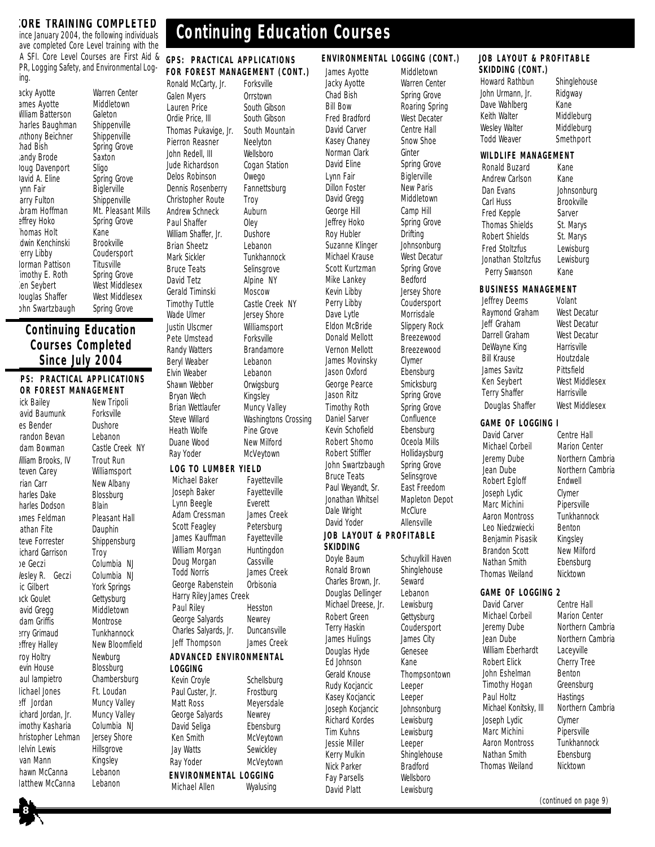### **CORE TRAINING COMPLETED**

ince January 2004, the following individuals ave completed Core Level training with the A SFI. Core Level Courses are First Aid & PR, Logging Safety, and Environmental Loging.

acky Ayotte Warren Center ames Ayotte Middletown William Batterson Galeton<br>Iharles Baughman Shippenville harles Baughman nthony Beichner Shippenville<br>had Bish Spring Grove landy Brode Saxton **Oug Davenport** Sligo<br>David A. Eline Spring Grove Javid A. Eline<br>Synn Fair arry Fulton Shippenville<br> **bram Hoffman** Mt. Pleasan effrey Hoko Spring Grove Thomas Holt **Kane**<br>Thomas Holt **Kane**<br> **The Kenchinski** Brookville dwin Kenchinski Perry Libby Coudersport **Iorman Pattison** Titusville<br>
Imothy E. Roth Spring Grove imothy E. Roth Ken Seybert West Middlesex Douglas Shaffer West Middlesex ohn Swartzbaugh Spring Grove

# Spring Grove Biglerville Mt. Pleasant Mills

### **Continuing Education Courses Completed Since July 2004**

**GPS: PRACTICAL APPLICATIONS FOR FOREST MANAGEMENT**

ick Bailey New Tripoli avid Baumunk Forksville es Bender bushore<br> **Lebanon**<br>
Fandon Bevan bushon randon Bevan dam Bowman Castle Creek NY *lilliam Brooks, IV* Trout Run teven Carey Williamsport Frian Carr New Albany harles Dake Blossburg harles Dodson Blain ames Feldman Pleasant Hall lathan Fite **Dauphin** teve Forrester Shippensburg ichard Garrison Troy Joe Geczi Columbia NJ lesley R. Geczi Columbia NJ ic Gilbert York Springs ack Goulet Gettysburg avid Gregg Middletown dam Griffis Montrose Jerry Grimaud Tunkhannock **Effrey Halley New Bloomfield** roy Holtry Newburg evin House Blossburg Paul Iampietro Chambersburg Michael Jones Ft. Loudan Jeff Jordan Muncy Valley ichard Jordan, Jr. Muncy Valley imothy Kasharia Columbia NJ hristopher Lehman Jersey Shore Melvin Lewis Hillsgrove van Mann Kingsley hawn McCanna Lebanon<br>Tatthew McCanna Lebanon latthew McCanna

Jude Richardson

# **Continuing Education Courses**

### **GPS: PRACTICAL APPLICATIONS FOR FOREST MANAGEMENT (CONT.)**

**LOG TO LUMBER YIELD** Michael Baker Favetteville Joseph Baker Fayetteville Lynn Beegle **Everett** Adam Cressman James Creek Scott Feagley Petersburg James Kauffman Fayetteville William Morgan Huntingdon Doug Morgan Cassville Todd Norris James Creek George Rabenstein Orbisonia Ronald McCarty, Jr. Forksville Galen Myers **Orrstown** Lauren Price South Gibson Ordie Price, III South Gibson Thomas Pukavige, Jr. South Mountain Pierron Reasner Neelyton John Redell, III Wellsboro<br>Jude Richardson Cogan Station Delos Robinson Owego Dennis Rosenberry Fannettsburg Christopher Route Troy Andrew Schneck Auburn Paul Shaffer Oley William Shaffer, Jr. Dushore Brian Sheetz Lebanon Mark Sickler **Tunkhannock** Bruce Teats Selinsgrove David Tetz Alpine NY Gerald Timinski Moscow Timothy Tuttle Castle Creek NY Wade Ulmer **Jersey Shore** Justin Ulscmer Williamsport Pete Umstead Forksville Randy Watters Brandamore Beryl Weaber Lebanon Elvin Weaber Lebanon Shawn Webber Orwigsburg<br>Brvan Wech Kingsley Brvan Wech Brian Wettlaufer Muncy Valley Steve Willard Washingtons Crossing<br>
Heath Wolfe Pine Grove Pine Grove Duane Wood New Milford Ray Yoder McVeytown

Harry Riley James Creek Paul Riley Hesston George Salyards Newrey Charles Salyards, Jr. Duncansville Jeff Thompson James Creek **ADVANCED ENVIRONMENTAL LOGGING** Kevin Croyle Schellsburg Paul Custer, Jr. Frostburg

Matt Ross Meyersdale George Salyards Newrey David Seliga **Ebensburg** Ken Smith McVeytown Jay Watts Sewickley Ray Yoder McVeytown **ENVIRONMENTAL LOGGING** Michael Allen Wyalusing

James Ayotte Middletown Jacky Ayotte Warren Center Chad Bish Spring Grove<br>
Bill Bow Roaring Sprin Fred Bradford West Decater David Carver Centre Hall Kasey Chaney Snow Shoe Norman Clark Ginter<br>David Eline Spring Lynn Fair<br>Dillon Foster Biglerville Dillon Foster David Gregg Middletown George Hill Camp Hill Jeffrey Hoko Spring Grove Roy Hubler **Drifting** Suzanne Klinger Johnsonburg Michael Krause West Decatur Scott Kurtzman Spring Grove Mike Lankey Bedford Kevin Libby Jersey Shore Perry Libby Coudersport Dave Lytle Morrisdale Eldon McBride Slippery Rock Donald Mellott Breezewood Vernon Mellott Breezewood James Movinsky Clymer Jason Oxford Ebensburg George Pearce Smicksburg Jason Ritz Spring Grove Timothy Roth Spring Grove Daniel Sarver Confluence Kevin Schofield Ebensburg Robert Shomo Oceola Mills<br>
Robert Stiffler Hollidaysbur John Swartzbaugh Spring Grove Bruce Teats Selinsgrove Paul Weyandt, Sr. East Freedom Jonathan Whitsel Mapleton Depot Dale Wright McClure David Yoder **Allensville JOB LAYOUT & PROFITABLE SKIDDING** Doyle Baum Schuylkill Haven Ronald Brown Shinglehouse Charles Brown, Jr. Seward Douglas Dellinger Lebanon Michael Dreese, Jr. Lewisburg Robert Green Gettysburg Terry Haskin Coudersport James Hulings James City Douglas Hyde Genesee Ed Johnson Kane Gerald Knouse Thompsontown Rudy Kocjancic Leeper Kasey Kocjancic Leeper Joseph Kocjancic Johnsonburg Richard Kordes Lewisburg Tim Kuhns Lewisburg Jessie Miller Leeper

### **ENVIRONMENTAL LOGGING (CONT.)**

Roaring Spring Spring Grove

Hollidaysburg Kerry Mulkin Shinglehouse Nick Parker Bradford Fay Parsells Wellsboro David Platt Lewisburg

#### **The Pennsylvania Sustainable Forestry Initiative**® **SIC JOB LAYOUT & PROFITABLE SKIDDING (CONT.)**

Fortune 2005 **Fortune** Howard Rathbun Shinglehouse John Urmann, Jr. Ridgway Dave Wahlberg Kane Keith Walter Middleburg Wesley Walter Middleburg Todd Weaver Smethport

### **WILDLIFE MANAGEMENT**

Ronald Buzard Kane Andrew Carlson Kane Dan Evans Johnsonburg Carl Huss Brookville Fred Kepple Sarver Thomas Shields St. Marys Robert Shields St. Marys Fred Stoltzfus Lewisburg Jonathan Stoltzfus Lewisburg Perry Swanson Kane

### **BUSINESS MANAGEMENT**

Jeffrey Deems Volant Raymond Graham West Decatur Jeff Graham West Decatur Darrell Graham West Decatur DeWayne King Harrisville Bill Krause Houtzdale James Savitz Pittsfield Ken Seybert West Middlesex Terry Shaffer Harrisville Douglas Shaffer West Middlesex

### **GAME OF LOGGING I**

David Carver Centre Hall<br>Michael Corbeil Marion Center Michael Corbeil Jeremy Dube Northern Cambria<br>Jean Dube Northern Cambria Robert Egloff Joseph Lydic Clymer Marc Michini Pipersville Aaron Montross Tunkhannock Leo Niedzwiecki Benton Benjamin Pisasik Kingsley Brandon Scott New Milford Nathan Smith Ebensburg

Northern Cambria<br>Fndwell Thomas Weiland Nicktown

### **GAME OF LOGGING 2**

David Carver Centre Hall Michael Corbeil Marion Center Jeremy Dube Northern Cambria Jean Dube Northern Cambria William Eberhardt Laceyville Robert Elick Cherry Tree<br>
John Eshelman Benton John Eshelman Timothy Hogan Greensburg Paul Holtz Hastings Michael Konitsky, III Northern Cambria Joseph Lydic Clymer Marc Michini Pipersville Aaron Montross Tunkhannock Nathan Smith Ebensburg

Thomas Weiland Nicktown

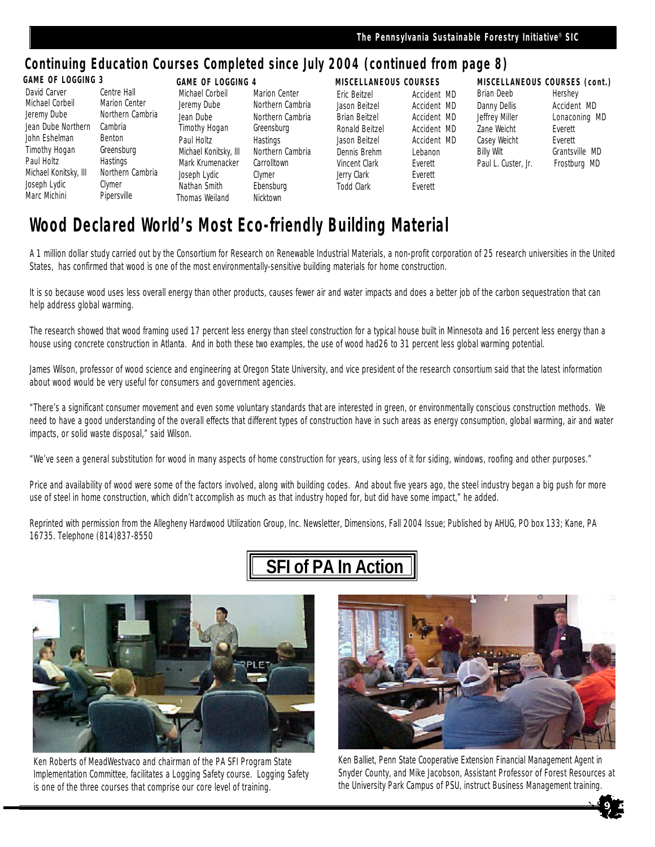## **Continuing Education Courses Completed since July 2004 (continued from page 8)**

### **GAME OF LOGGING 3**

| David Carver          | Centre Hall   |
|-----------------------|---------------|
| Michael Corbeil       | Marion Center |
| Jeremy Dube           | Northern Cam  |
| Jean Dube Northern    | Cambria       |
| John Eshelman         | Benton        |
| <b>Timothy Hogan</b>  | Greensburg    |
| Paul Holtz            | Hastings      |
| Michael Konitsky, III | Northern Cam  |
| Joseph Lydic          | Clymer        |
| Marc Michini          | Pipersville   |
|                       |               |

Northern Cambria Northern Cambria **GAME OF LOGGING 4** Joseph Lydic Clymer Thomas Weiland Nicktown

Michael Corbeil Marion Center Jeremy Dube Northern Cambria Jean Dube Northern Cambria Timothy Hogan Greensburg Paul Holtz Hastings Michael Konitsky, III Northern Cambria Mark Krumenacker Carrolltown Nathan Smith Ebensburg

### **MISCELLANEOUS COURSES**

Eric Beitzel **Accident MD**<br>Jason Beitzel **Accident MD** Accident MD Brian Beitzel Accident MD Ronald Beitzel Accident MD Jason Beitzel Accident MD Dennis Brehm Lebanon Vincent Clark Everett Jerry Clark Everett Todd Clark Everett

### **MISCELLANEOUS COURSES (cont.)** Brian Deeb Hershey

Danny Dellis **Accident MD** Jeffrey Miller Lonaconing MD Zane Weicht **Everett** Casey Weicht **Everett** Billy Wilt Grantsville MD Paul L. Custer, Jr. Frostburg MD

# **Wood Declared World's Most Eco-friendly Building Material**

A 1 million dollar study carried out by the Consortium for Research on Renewable Industrial Materials, a non-profit corporation of 25 research universities in the United States, has confirmed that wood is one of the most environmentally-sensitive building materials for home construction.

It is so because wood uses less overall energy than other products, causes fewer air and water impacts and does a better job of the carbon sequestration that can help address global warming.

The research showed that wood framing used 17 percent less energy than steel construction for a typical house built in Minnesota and 16 percent less energy than a house using concrete construction in Atlanta. And in both these two examples, the use of wood had26 to 31 percent less global warming potential.

James Wilson, professor of wood science and engineering at Oregon State University, and vice president of the research consortium said that the latest information about wood would be very useful for consumers and government agencies.

"There's a significant consumer movement and even some voluntary standards that are interested in green, or environmentally conscious construction methods. We need to have a good understanding of the overall effects that different types of construction have in such areas as energy consumption, global warming, air and water impacts, or solid waste disposal," said Wilson.

"We've seen a general substitution for wood in many aspects of home construction for years, using less of it for siding, windows, roofing and other purposes."

Price and availability of wood were some of the factors involved, along with building codes. And about five years ago, the steel industry began a big push for more use of steel in home construction, which didn't accomplish as much as that industry hoped for, but did have some impact," he added.

Reprinted with permission from the Allegheny Hardwood Utilization Group, Inc. Newsletter, Dimensions, Fall 2004 Issue; Published by AHUG, PO box 133; Kane, PA 16735. Telephone (814)837-8550

# **SFI of PA In Action**



Ken Roberts of MeadWestvaco and chairman of the PA SFI Program State Implementation Committee, facilitates a Logging Safety course. Logging Safety is one of the three courses that comprise our core level of training.



Ken Balliet, Penn State Cooperative Extension Financial Management Agent in Snyder County, and Mike Jacobson, Assistant Professor of Forest Resources at the University Park Campus of PSU, instruct Business Management training.

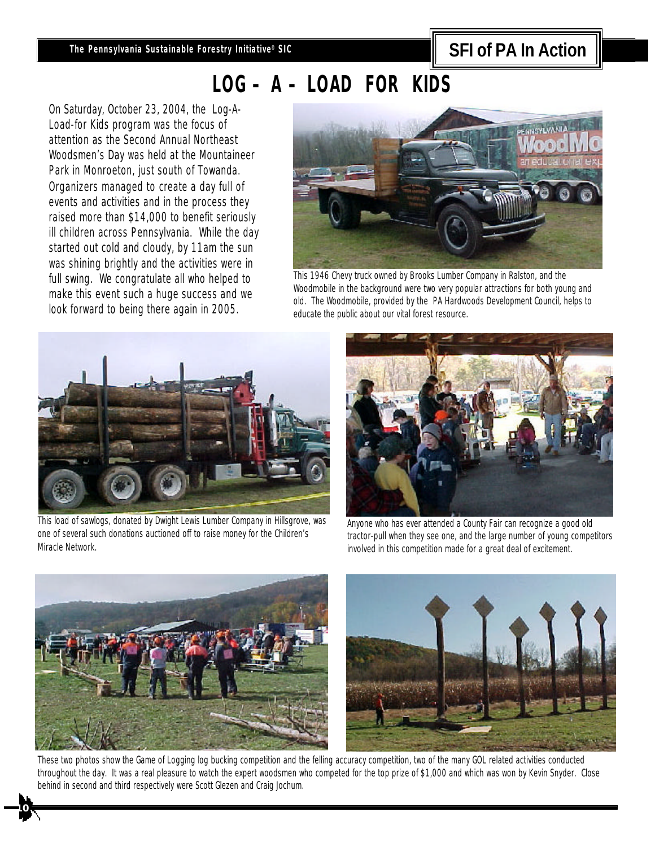# **SFI of PA In Action**

# **LOG – A – LOAD FOR KIDS**

On Saturday, October 23, 2004, the Log-A-Load-for Kids program was the focus of attention as the Second Annual Northeast Woodsmen's Day was held at the Mountaineer Park in Monroeton, just south of Towanda. Organizers managed to create a day full of events and activities and in the process they raised more than \$14,000 to benefit seriously ill children across Pennsylvania. While the day started out cold and cloudy, by 11am the sun was shining brightly and the activities were in full swing. We congratulate all who helped to make this event such a huge success and we look forward to being there again in 2005.



This 1946 Chevy truck owned by Brooks Lumber Company in Ralston, and the Woodmobile in the background were two very popular attractions for both young and old. The Woodmobile, provided by the PA Hardwoods Development Council, helps to educate the public about our vital forest resource.



This load of sawlogs, donated by Dwight Lewis Lumber Company in Hillsgrove, was one of several such donations auctioned off to raise money for the Children's Miracle Network.



Anyone who has ever attended a County Fair can recognize a good old tractor-pull when they see one, and the large number of young competitors involved in this competition made for a great deal of excitement.



**10**



These two photos show the Game of Logging log bucking competition and the felling accuracy competition, two of the many GOL related activities conducted throughout the day. It was a real pleasure to watch the expert woodsmen who competed for the top prize of \$1,000 and which was won by Kevin Snyder. Close behind in second and third respectively were Scott Glezen and Craig Jochum.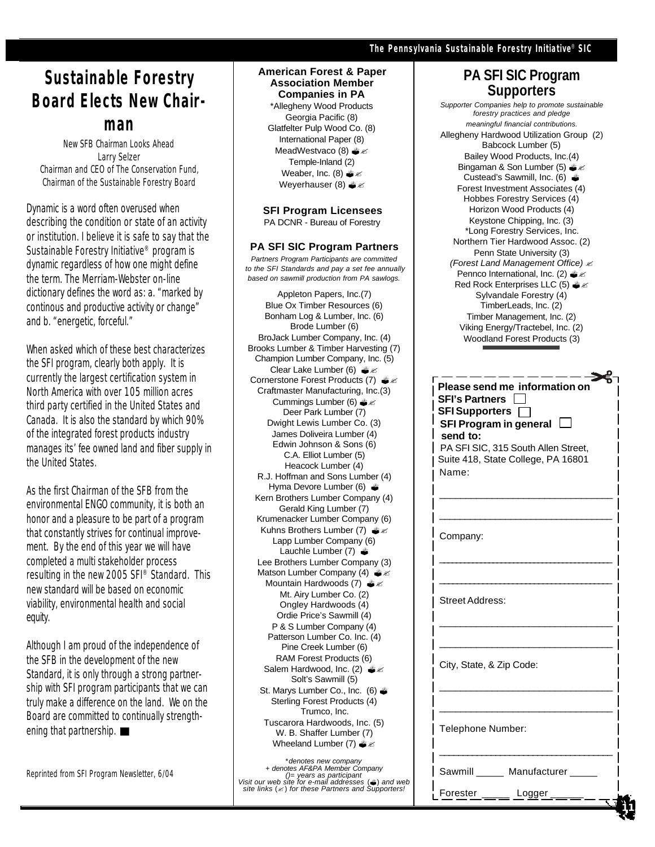## **Sustainable Forestry Board Elects New Chairman**

New SFB Chairman Looks Ahead Larry Selzer Chairman and CEO of The Conservation Fund, Chairman of the Sustainable Forestry Board

Dynamic is a word often overused when describing the condition or state of an activity or institution. I believe it is safe to say that the Sustainable Forestry Initiative® program is dynamic regardless of how one might define the term. The Merriam-Webster on-line dictionary defines the word as: a. "marked by continous and productive activity or change" and b. "energetic, forceful."

When asked which of these best characterizes the SFI program, clearly both apply. It is currently the largest certification system in North America with over 105 million acres third party certified in the United States and Canada. It is also the standard by which 90% of the integrated forest products industry manages its' fee owned land and fiber supply in the United States.

As the first Chairman of the SFB from the environmental ENGO community, it is both an honor and a pleasure to be part of a program that constantly strives for continual improvement. By the end of this year we will have completed a multi stakeholder process resulting in the new 2005 SFI® Standard. This new standard will be based on economic viability, environmental health and social equity.

Although I am proud of the independence of the SFB in the development of the new Standard, it is only through a strong partnership with SFI program participants that we can truly make a difference on the land. We on the Board are committed to continually strengthening that partnership.

*Reprinted from SFI Program Newsletter, 6/04*

### **American Forest & Paper Association Member Companies in PA**

\*Allegheny Wood Products Georgia Pacific (8) Glatfelter Pulp Wood Co. (8) International Paper (8) MeadWestvaco (8)  $*$ Temple-Inland (2) Weaber, Inc. (8)  $x \text{ s}$ Weyerhauser (8)  $\triangleq$   $\leq$ 

**SFI Program Licensees** PA DCNR - Bureau of Forestry

### **PA SFI SIC Program Partners**

*Partners Program Participants are committed to the SFI Standards and pay a set fee annually based on sawmill production from PA sawlogs.*

Appleton Papers, Inc.(7) Blue Ox Timber Resources (6) Bonham Log & Lumber, Inc. (6) Brode Lumber (6) BroJack Lumber Company, Inc. (4) Brooks Lumber & Timber Harvesting (7) Champion Lumber Company, Inc. (5) Clear Lake Lumber (6)  $\triangleq$ Cornerstone Forest Products (7)  $\triangleq$   $\leq$ Craftmaster Manufacturing, Inc.(3) Cummings Lumber (6)  $\triangleq$   $\leq$ Deer Park Lumber (7) Dwight Lewis Lumber Co. (3) James Doliveira Lumber (4) Edwin Johnson & Sons (6) C.A. Elliot Lumber (5) Heacock Lumber (4) R.J. Hoffman and Sons Lumber (4) Hyma Devore Lumber (6)  $\triangleq$ Kern Brothers Lumber Company (4) Gerald King Lumber (7) Krumenacker Lumber Company (6) Kuhns Brothers Lumber (7)  $*Z$ Lapp Lumber Company (6) Lauchle Lumber  $(7)$   $\triangleq$ Lee Brothers Lumber Company (3) Matson Lumber Company (4)  $*$ Mountain Hardwoods (7) ?? Mt. Airy Lumber Co. (2) Ongley Hardwoods (4) Ordie Price's Sawmill (4) P & S Lumber Company (4) Patterson Lumber Co. Inc. (4) Pine Creek Lumber (6) RAM Forest Products (6) Salem Hardwood, Inc. (2)  $\triangleq$   $\leq$ Solt's Sawmill (5) St. Marys Lumber Co., Inc. (6)  $\triangleq$ Sterling Forest Products (4) Trumco, Inc. Tuscarora Hardwoods, Inc. (5) W. B. Shaffer Lumber (7) Wheeland Lumber (7)  $*$ 

\**denotes new company + denotes AF&PA Member Company ()*= years as participant<br>*Visit our web site for e-mail addresses* (♦) and web<br>*site links* (≤) *for these Partners and Supporters!* 

### **PA SFI SIC Program Supporters**

*Supporter Companies help to promote sustainable forestry practices and pledge meaningful financial contributions.* Allegheny Hardwood Utilization Group (2) Babcock Lumber (5) Bailey Wood Products, Inc.(4) Bingaman & Son Lumber (5)  $\triangle$   $\le$ Custead's Sawmill, Inc. (6)  $\triangleq$ Forest Investment Associates (4) Hobbes Forestry Services (4) Horizon Wood Products (4) Keystone Chipping, Inc. (3) \*Long Forestry Services, Inc. Northern Tier Hardwood Assoc. (2) Penn State University (3) *(Forest Land Management Office)* ? Pennco International, Inc. (2)  $\triangleq \, \leq$ Red Rock Enterprises LLC (5)  $\triangle$   $\le$ Sylvandale Forestry (4) TimberLeads, Inc. (2) Timber Management, Inc. (2) Viking Energy/Tractebel, Inc. (2) Woodland Forest Products (3)

| Please send me information on<br><b>SFI's Partners</b><br>$\mathbf{I}$<br>SFI Supporters $\Box$<br>SFI Program in general $\Box$<br>send to:<br>PA SFI SIC, 315 South Allen Street,<br>Suite 418, State College, PA 16801 |
|---------------------------------------------------------------------------------------------------------------------------------------------------------------------------------------------------------------------------|
| Name:                                                                                                                                                                                                                     |
|                                                                                                                                                                                                                           |
|                                                                                                                                                                                                                           |
| Company:                                                                                                                                                                                                                  |
|                                                                                                                                                                                                                           |
|                                                                                                                                                                                                                           |
|                                                                                                                                                                                                                           |
| <b>Street Address:</b>                                                                                                                                                                                                    |
|                                                                                                                                                                                                                           |
|                                                                                                                                                                                                                           |
| City, State, & Zip Code:                                                                                                                                                                                                  |
|                                                                                                                                                                                                                           |
|                                                                                                                                                                                                                           |
|                                                                                                                                                                                                                           |
| Telephone Number:                                                                                                                                                                                                         |
| Sawmill Manufacturer                                                                                                                                                                                                      |
|                                                                                                                                                                                                                           |
| Forester<br>Logger                                                                                                                                                                                                        |